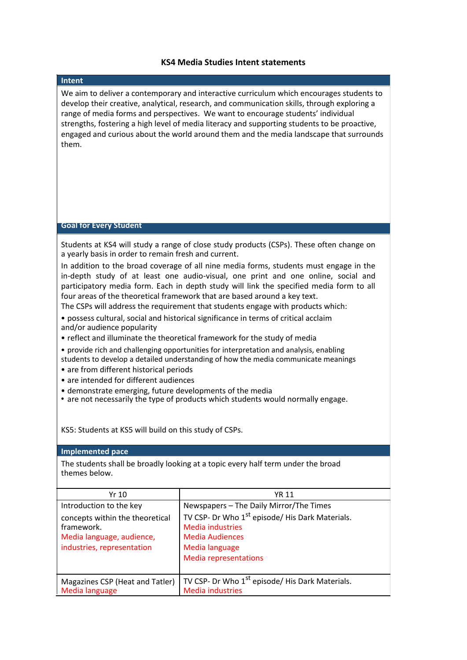## **KS4 Media Studies Intent statements**